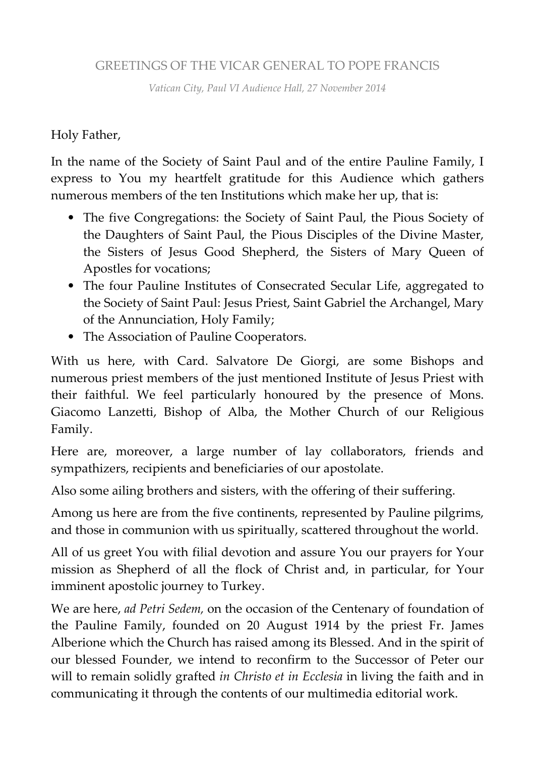## GREETINGS OF THE VICAR GENERAL TO POPE FRANCIS

*Vatican City, Paul VI Audience Hall, 27 November 2014*

## Holy Father,

In the name of the Society of Saint Paul and of the entire Pauline Family, I express to You my heartfelt gratitude for this Audience which gathers numerous members of the ten Institutions which make her up, that is:

- The five Congregations: the Society of Saint Paul, the Pious Society of the Daughters of Saint Paul, the Pious Disciples of the Divine Master, the Sisters of Jesus Good Shepherd, the Sisters of Mary Queen of Apostles for vocations;
- The four Pauline Institutes of Consecrated Secular Life, aggregated to the Society of Saint Paul: Jesus Priest, Saint Gabriel the Archangel, Mary of the Annunciation, Holy Family;
- The Association of Pauline Cooperators.

With us here, with Card. Salvatore De Giorgi, are some Bishops and numerous priest members of the just mentioned Institute of Jesus Priest with their faithful. We feel particularly honoured by the presence of Mons. Giacomo Lanzetti, Bishop of Alba, the Mother Church of our Religious Family.

Here are, moreover, a large number of lay collaborators, friends and sympathizers, recipients and beneficiaries of our apostolate.

Also some ailing brothers and sisters, with the offering of their suffering.

Among us here are from the five continents, represented by Pauline pilgrims, and those in communion with us spiritually, scattered throughout the world.

All of us greet You with filial devotion and assure You our prayers for Your mission as Shepherd of all the flock of Christ and, in particular, for Your imminent apostolic journey to Turkey.

We are here, *ad Petri Sedem,* on the occasion of the Centenary of foundation of the Pauline Family, founded on 20 August 1914 by the priest Fr. James Alberione which the Church has raised among its Blessed. And in the spirit of our blessed Founder, we intend to reconfirm to the Successor of Peter our will to remain solidly grafted *in Christo et in Ecclesia* in living the faith and in communicating it through the contents of our multimedia editorial work.